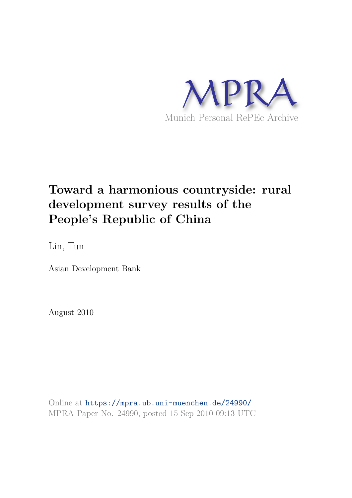

# **Toward a harmonious countryside: rural development survey results of the People's Republic of China**

Lin, Tun

Asian Development Bank

August 2010

Online at https://mpra.ub.uni-muenchen.de/24990/ MPRA Paper No. 24990, posted 15 Sep 2010 09:13 UTC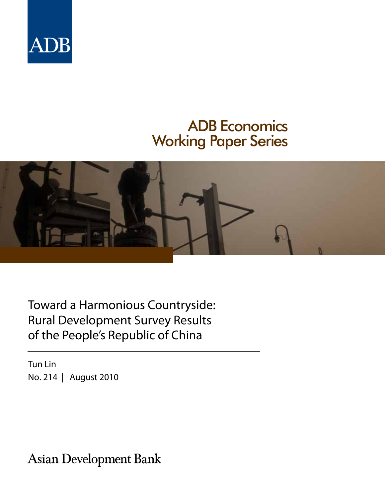

# ADB Economics Working Paper Series



Toward a Harmonious Countryside: Rural Development Survey Results of the People's Republic of China

Tun Lin No. 214 | August 2010

**Asian Development Bank**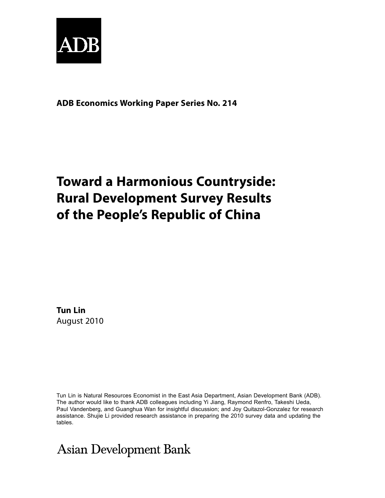

**ADB Economics Working Paper Series No. 214**

# **Toward a Harmonious Countryside: Rural Development Survey Results of the People's Republic of China**

**Tun Lin** August 2010

Tun Lin is Natural Resources Economist in the East Asia Department, Asian Development Bank (ADB). The author would like to thank ADB colleagues including Yi Jiang, Raymond Renfro, Takeshi Ueda, Paul Vandenberg, and Guanghua Wan for insightful discussion; and Joy Quitazol-Gonzalez for research assistance. Shujie Li provided research assistance in preparing the 2010 survey data and updating the tables.

**Asian Development Bank**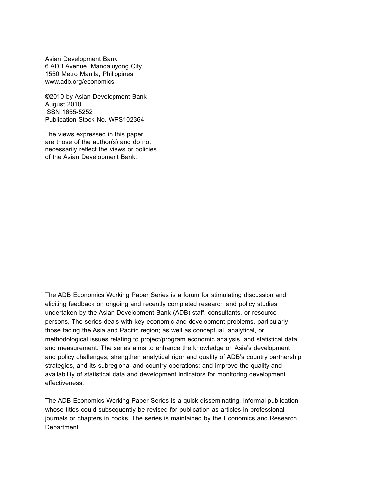Asian Development Bank 6 ADB Avenue, Mandaluyong City 1550 Metro Manila, Philippines www.adb.org/economics

©2010 by Asian Development Bank August 2010 ISSN 1655-5252 Publication Stock No. WPS102364

The views expressed in this paper are those of the author(s) and do not necessarily reflect the views or policies of the Asian Development Bank.

The ADB Economics Working Paper Series is a forum for stimulating discussion and eliciting feedback on ongoing and recently completed research and policy studies undertaken by the Asian Development Bank (ADB) staff, consultants, or resource persons. The series deals with key economic and development problems, particularly those facing the Asia and Pacific region; as well as conceptual, analytical, or methodological issues relating to project/program economic analysis, and statistical data and measurement. The series aims to enhance the knowledge on Asia's development and policy challenges; strengthen analytical rigor and quality of ADB's country partnership strategies, and its subregional and country operations; and improve the quality and availability of statistical data and development indicators for monitoring development effectiveness.

The ADB Economics Working Paper Series is a quick-disseminating, informal publication whose titles could subsequently be revised for publication as articles in professional journals or chapters in books. The series is maintained by the Economics and Research Department.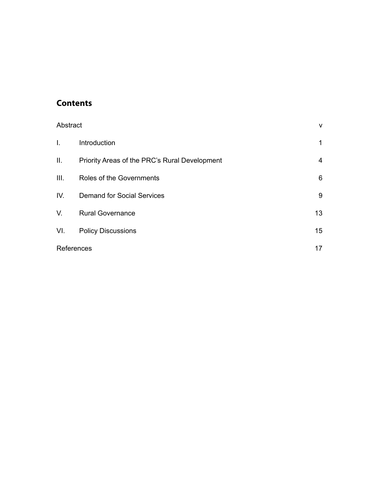## **Contents**

| Abstract   |                                               | $\mathsf{V}$    |
|------------|-----------------------------------------------|-----------------|
| T.         | Introduction                                  | 1               |
| Ш.         | Priority Areas of the PRC's Rural Development | 4               |
| Ш.         | Roles of the Governments                      | 6               |
| IV.        | <b>Demand for Social Services</b>             | 9               |
| V.         | <b>Rural Governance</b>                       | 13              |
| VI.        | <b>Policy Discussions</b>                     | 15 <sub>1</sub> |
| References |                                               | 17              |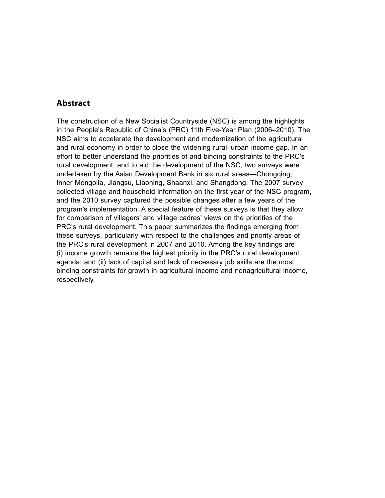### **Abstract**

The construction of a New Socialist Countryside (NSC) is among the highlights in the People's Republic of China's (PRC) 11th Five-Year Plan (2006–2010). The NSC aims to accelerate the development and modernization of the agricultural and rural economy in order to close the widening rural–urban income gap. In an effort to better understand the priorities of and binding constraints to the PRC's rural development, and to aid the development of the NSC, two surveys were undertaken by the Asian Development Bank in six rural areas—Chongqing, Inner Mongolia, Jiangsu, Liaoning, Shaanxi, and Shangdong. The 2007 survey collected village and household information on the first year of the NSC program, and the 2010 survey captured the possible changes after a few years of the program's implementation. A special feature of these surveys is that they allow for comparison of villagers' and village cadres' views on the priorities of the PRC's rural development. This paper summarizes the findings emerging from these surveys, particularly with respect to the challenges and priority areas of the PRC's rural development in 2007 and 2010. Among the key findings are (i) income growth remains the highest priority in the PRC's rural development agenda; and (ii) lack of capital and lack of necessary job skills are the most binding constraints for growth in agricultural income and nonagricultural income, respectively.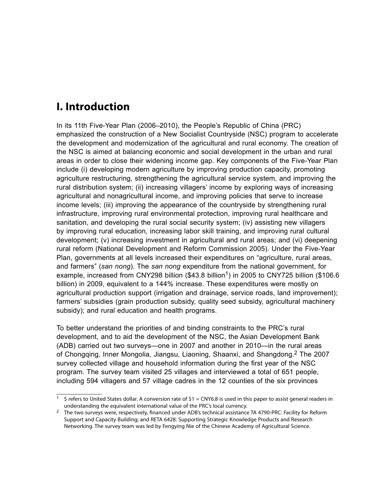## **I. Introduction**

In its 11th Five-Year Plan (2006–2010), the People's Republic of China (PRC) emphasized the construction of a New Socialist Countryside (NSC) program to accelerate the development and modernization of the agricultural and rural economy. The creation of the NSC is aimed at balancing economic and social development in the urban and rural areas in order to close their widening income gap. Key components of the Five-Year Plan include (i) developing modern agriculture by improving production capacity, promoting agriculture restructuring, strengthening the agricultural service system, and improving the rural distribution system; (ii) increasing villagers' income by exploring ways of increasing agricultural and nonagricultural income, and improving policies that serve to increase income levels; (iii) improving the appearance of the countryside by strengthening rural infrastructure, improving rural environmental protection, improving rural healthcare and sanitation, and developing the rural social security system; (iv) assisting new villagers by improving rural education, increasing labor skill training, and improving rural cultural development; (v) increasing investment in agricultural and rural areas; and (vi) deepening rural reform (National Development and Reform Commission 2005). Under the Five-Year Plan, governments at all levels increased their expenditures on "agriculture, rural areas, and farmers" (*san nong*). The *san nong* expenditure from the national government, for example, increased from CNY298 billion  $($43.8 \text{ billion}^1)$  in 2005 to CNY725 billion  $($106.6$ billion) in 2009, equivalent to a 144% increase. These expenditures were mostly on agricultural production support (irrigation and drainage, service roads, land improvement); farmers' subsidies (grain production subsidy, quality seed subsidy, agricultural machinery subsidy); and rural education and health programs.

To better understand the priorities of and binding constraints to the PRC's rural development, and to aid the development of the NSC, the Asian Development Bank (ADB) carried out two surveys—one in 2007 and another in 2010—in the rural areas of Chongqing, Inner Mongolia, Jiangsu, Liaoning, Shaanxi, and Shangdong.2 The 2007 survey collected village and household information during the first year of the NSC program. The survey team visited 25 villages and interviewed a total of 651 people, including 594 villagers and 57 village cadres in the 12 counties of the six provinces

<sup>&</sup>lt;sup>1</sup> \$ refers to United States dollar. A conversion rate of \$1 = CNY6.8 is used in this paper to assist general readers in understanding the equivalent international value of the PRC's local currency.

<sup>&</sup>lt;sup>2</sup> The two surveys were, respectively, financed under ADB's technical assistance TA 4790-PRC: Facility for Reform Support and Capacity Building; and RETA 6428: Supporting Strategic Knowledge Products and Research Networking. The survey team was led by Fengying Nie of the Chinese Academy of Agricultural Science.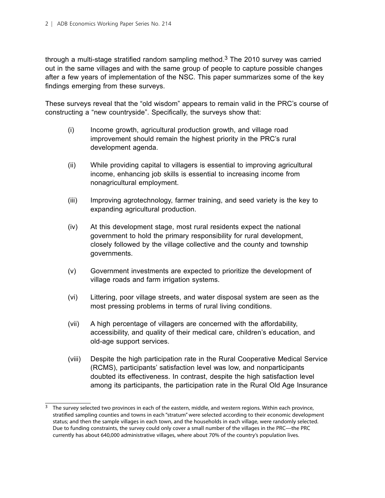through a multi-stage stratified random sampling method. $3$  The 2010 survey was carried out in the same villages and with the same group of people to capture possible changes after a few years of implementation of the NSC. This paper summarizes some of the key findings emerging from these surveys.

These surveys reveal that the "old wisdom" appears to remain valid in the PRC's course of constructing a "new countryside". Specifically, the surveys show that:

- (i) Income growth, agricultural production growth, and village road improvement should remain the highest priority in the PRC's rural development agenda.
- (ii) While providing capital to villagers is essential to improving agricultural income, enhancing job skills is essential to increasing income from nonagricultural employment.
- (iii) Improving agrotechnology, farmer training, and seed variety is the key to expanding agricultural production.
- (iv) At this development stage, most rural residents expect the national government to hold the primary responsibility for rural development, closely followed by the village collective and the county and township governments.
- (v) Government investments are expected to prioritize the development of village roads and farm irrigation systems.
- (vi) Littering, poor village streets, and water disposal system are seen as the most pressing problems in terms of rural living conditions.
- (vii) A high percentage of villagers are concerned with the affordability, accessibility, and quality of their medical care, children's education, and old-age support services.
- (viii) Despite the high participation rate in the Rural Cooperative Medical Service (RCMS), participants' satisfaction level was low, and nonparticipants doubted its effectiveness. In contrast, despite the high satisfaction level among its participants, the participation rate in the Rural Old Age Insurance

<sup>&</sup>lt;sup>3</sup> The survey selected two provinces in each of the eastern, middle, and western regions. Within each province, stratified sampling counties and towns in each "stratum" were selected according to their economic development status; and then the sample villages in each town, and the households in each village, were randomly selected. Due to funding constraints, the survey could only cover a small number of the villages in the PRC—the PRC currently has about 640,000 administrative villages, where about 70% of the country's population lives.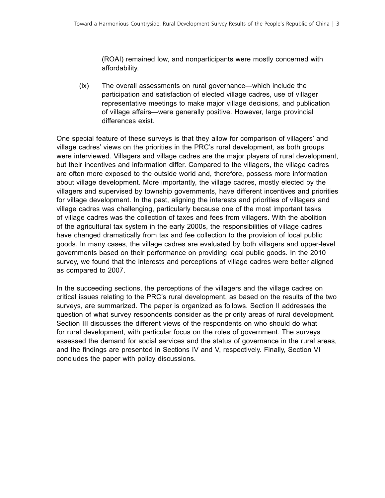(ROAI) remained low, and nonparticipants were mostly concerned with affordability.

(ix) The overall assessments on rural governance—which include the participation and satisfaction of elected village cadres, use of villager representative meetings to make major village decisions, and publication of village affairs—were generally positive. However, large provincial differences exist.

One special feature of these surveys is that they allow for comparison of villagers' and village cadres' views on the priorities in the PRC's rural development, as both groups were interviewed. Villagers and village cadres are the major players of rural development, but their incentives and information differ. Compared to the villagers, the village cadres are often more exposed to the outside world and, therefore, possess more information about village development. More importantly, the village cadres, mostly elected by the villagers and supervised by township governments, have different incentives and priorities for village development. In the past, aligning the interests and priorities of villagers and village cadres was challenging, particularly because one of the most important tasks of village cadres was the collection of taxes and fees from villagers. With the abolition of the agricultural tax system in the early 2000s, the responsibilities of village cadres have changed dramatically from tax and fee collection to the provision of local public goods. In many cases, the village cadres are evaluated by both villagers and upper-level governments based on their performance on providing local public goods. In the 2010 survey, we found that the interests and perceptions of village cadres were better aligned as compared to 2007.

In the succeeding sections, the perceptions of the villagers and the village cadres on critical issues relating to the PRC's rural development, as based on the results of the two surveys, are summarized. The paper is organized as follows. Section II addresses the question of what survey respondents consider as the priority areas of rural development. Section III discusses the different views of the respondents on who should do what for rural development, with particular focus on the roles of government. The surveys assessed the demand for social services and the status of governance in the rural areas, and the findings are presented in Sections IV and V, respectively. Finally, Section VI concludes the paper with policy discussions.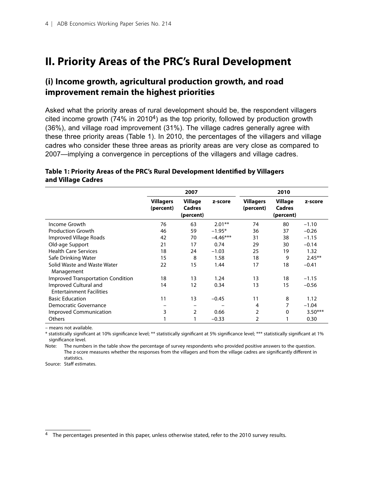## **II. Priority Areas of the PRC's Rural Development**

### **(i) Income growth, agricultural production growth, and road improvement remain the highest priorities**

Asked what the priority areas of rural development should be, the respondent villagers cited income growth  $(74\%$  in 2010<sup>4</sup>) as the top priority, followed by production growth (36%), and village road improvement (31%). The village cadres generally agree with these three priority areas (Table 1). In 2010, the percentages of the villagers and village cadres who consider these three areas as priority areas are very close as compared to 2007—implying a convergence in perceptions of the villagers and village cadres.

#### **Table 1: Priority Areas of the PRC's Rural Development Identified by Villagers and Village Cadres**

|                                                          |                               | 2007                                  |            |                               | 2010                           |           |
|----------------------------------------------------------|-------------------------------|---------------------------------------|------------|-------------------------------|--------------------------------|-----------|
|                                                          | <b>Villagers</b><br>(percent) | Village<br><b>Cadres</b><br>(percent) | z-score    | <b>Villagers</b><br>(percent) | Village<br>Cadres<br>(percent) | z-score   |
| Income Growth                                            | 76                            | 63                                    | $2.01**$   | 74                            | 80                             | $-1.10$   |
| <b>Production Growth</b>                                 | 46                            | 59                                    | $-1.95*$   | 36                            | 37                             | $-0.26$   |
| Improved Village Roads                                   | 42                            | 70                                    | $-4.46***$ | 31                            | 38                             | $-1.15$   |
| Old-age Support                                          | 21                            | 17                                    | 0.74       | 29                            | 30                             | $-0.14$   |
| <b>Health Care Services</b>                              | 18                            | 24                                    | $-1.03$    | 25                            | 19                             | 1.32      |
| Safe Drinking Water                                      | 15                            | 8                                     | 1.58       | 18                            | 9                              | $2.45***$ |
| Solid Waste and Waste Water<br>Management                | 22                            | 15                                    | 1.44       | 17                            | 18                             | $-0.41$   |
| Improved Transportation Condition                        | 18                            | 13                                    | 1.24       | 13                            | 18                             | $-1.15$   |
| Improved Cultural and<br><b>Entertainment Facilities</b> | 14                            | 12                                    | 0.34       | 13                            | 15                             | $-0.56$   |
| <b>Basic Education</b>                                   | 11                            | 13                                    | $-0.45$    | 11                            | 8                              | 1.12      |
| Democratic Governance                                    |                               |                                       |            | 4                             | 7                              | $-1.04$   |
| <b>Improved Communication</b>                            | 3                             | $\overline{2}$                        | 0.66       | 2                             | 0                              | $3.50***$ |
| Others                                                   |                               |                                       | $-0.33$    | $\overline{2}$                |                                | 0.30      |

– means not available.

\* statistically significant at 10% significance level; \*\* statistically significant at 5% significance level; \*\*\* statistically significant at 1% significance level.

Note: The numbers in the table show the percentage of survey respondents who provided positive answers to the question. The z-score measures whether the responses from the villagers and from the village cadres are significantly different in statistics.

Source: Staff estimates.

<sup>&</sup>lt;sup>4</sup> The percentages presented in this paper, unless otherwise stated, refer to the 2010 survey results.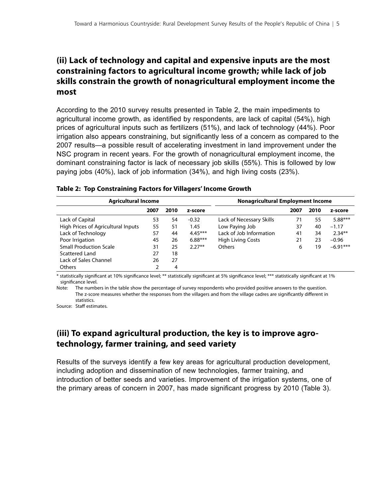## **(ii) Lack of technology and capital and expensive inputs are the most constraining factors to agricultural income growth; while lack of job skills constrain the growth of nonagricultural employment income the most**

According to the 2010 survey results presented in Table 2, the main impediments to agricultural income growth, as identified by respondents, are lack of capital (54%), high prices of agricultural inputs such as fertilizers (51%), and lack of technology (44%). Poor irrigation also appears constraining, but significantly less of a concern as compared to the 2007 results—a possible result of accelerating investment in land improvement under the NSC program in recent years. For the growth of nonagricultural employment income, the dominant constraining factor is lack of necessary job skills (55%). This is followed by low paying jobs (40%), lack of job information (34%), and high living costs (23%).

| <b>Agricultural Income</b>         | <b>Nonagricultural Employment Income</b> |      |           |                          |      |      |            |
|------------------------------------|------------------------------------------|------|-----------|--------------------------|------|------|------------|
|                                    | 2007                                     | 2010 | z-score   |                          | 2007 | 2010 | z-score    |
| Lack of Capital                    | 53                                       | 54   | $-0.32$   | Lack of Necessary Skills | 71   | 55   | $5.88***$  |
| High Prices of Agricultural Inputs | 55                                       | 51   | 1.45      | Low Paying Job           | 37   | 40   | $-1.17$    |
| Lack of Technology                 | 57                                       | 44   | $4.45***$ | Lack of Job Information  | 41   | 34   | $2.34**$   |
| Poor Irrigation                    | 45                                       | 26   | $6.88***$ | <b>High Living Costs</b> | 21   | 23   | $-0.96$    |
| <b>Small Production Scale</b>      | 31                                       | 25   | $2.27**$  | <b>Others</b>            | 6    | 19   | $-6.91***$ |
| Scattered Land                     | 27                                       | 18   |           |                          |      |      |            |
| Lack of Sales Channel              | 26                                       | 27   |           |                          |      |      |            |
| <b>Others</b>                      | 2                                        | 4    |           |                          |      |      |            |

|  |  | Table 2: Top Constraining Factors for Villagers' Income Growth |  |  |  |  |
|--|--|----------------------------------------------------------------|--|--|--|--|
|--|--|----------------------------------------------------------------|--|--|--|--|

\* statistically significant at 10% significance level; \*\* statistically significant at 5% significance level; \*\*\* statistically significant at 1% significance level.

Note: The numbers in the table show the percentage of survey respondents who provided positive answers to the question. The z-score measures whether the responses from the villagers and from the village cadres are significantly different in statistics.

Source: Staff estimates.

## **(iii) To expand agricultural production, the key is to improve agrotechnology, farmer training, and seed variety**

Results of the surveys identify a few key areas for agricultural production development, including adoption and dissemination of new technologies, farmer training, and introduction of better seeds and varieties. Improvement of the irrigation systems, one of the primary areas of concern in 2007, has made significant progress by 2010 (Table 3).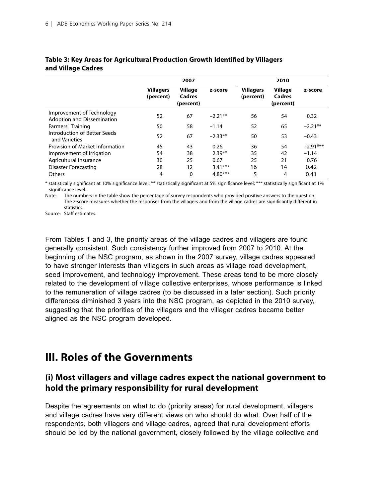|                                                                |                               | 2007                           |           |                               | 2010                                  |            |
|----------------------------------------------------------------|-------------------------------|--------------------------------|-----------|-------------------------------|---------------------------------------|------------|
|                                                                | <b>Villagers</b><br>(percent) | Village<br>Cadres<br>(percent) | z-score   | <b>Villagers</b><br>(percent) | <b>Village</b><br>Cadres<br>(percent) | z-score    |
| Improvement of Technology<br><b>Adoption and Dissemination</b> | 52                            | 67                             | $-2.21**$ | 56                            | 54                                    | 0.32       |
| Farmers' Training                                              | 50                            | 58                             | $-1.14$   | 52                            | 65                                    | $-2.21**$  |
| Introduction of Better Seeds<br>and Varieties                  | 52                            | 67                             | $-2.33**$ | 50                            | 53                                    | $-0.43$    |
| Provision of Market Information                                | 45                            | 43                             | 0.26      | 36                            | 54                                    | $-2.91***$ |
| Improvement of Irrigation                                      | 54                            | 38                             | $2.39**$  | 35                            | 42                                    | $-1.14$    |
| Agricultural Insurance                                         | 30                            | 25                             | 0.67      | 25                            | 21                                    | 0.76       |
| <b>Disaster Forecasting</b>                                    | 28                            | $12 \overline{ }$              | $3.41***$ | 16                            | 14                                    | 0.42       |
| Others                                                         | 4                             | 0                              | $4.80***$ | 5                             | 4                                     | 0.41       |

#### **Table 3: Key Areas for Agricultural Production Growth Identified by Villagers and Village Cadres**

\* statistically significant at 10% significance level; \*\* statistically significant at 5% significance level; \*\*\* statistically significant at 1% significance level.

Note: The numbers in the table show the percentage of survey respondents who provided positive answers to the question. The z-score measures whether the responses from the villagers and from the village cadres are significantly different in statistics.

Source: Staff estimates.

From Tables 1 and 3, the priority areas of the village cadres and villagers are found generally consistent. Such consistency further improved from 2007 to 2010. At the beginning of the NSC program, as shown in the 2007 survey, village cadres appeared to have stronger interests than villagers in such areas as village road development, seed improvement, and technology improvement. These areas tend to be more closely related to the development of village collective enterprises, whose performance is linked to the remuneration of village cadres (to be discussed in a later section). Such priority differences diminished 3 years into the NSC program, as depicted in the 2010 survey, suggesting that the priorities of the villagers and the villager cadres became better aligned as the NSC program developed.

## **III. Roles of the Governments**

### **(i) Most villagers and village cadres expect the national government to hold the primary responsibility for rural development**

Despite the agreements on what to do (priority areas) for rural development, villagers and village cadres have very different views on who should do what. Over half of the respondents, both villagers and village cadres, agreed that rural development efforts should be led by the national government, closely followed by the village collective and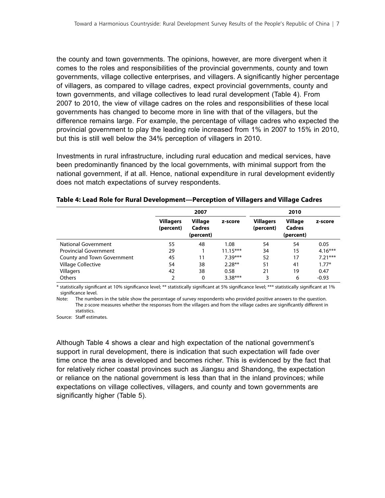the county and town governments. The opinions, however, are more divergent when it comes to the roles and responsibilities of the provincial governments, county and town governments, village collective enterprises, and villagers. A significantly higher percentage of villagers, as compared to village cadres, expect provincial governments, county and town governments, and village collectives to lead rural development (Table 4). From 2007 to 2010, the view of village cadres on the roles and responsibilities of these local governments has changed to become more in line with that of the villagers, but the difference remains large. For example, the percentage of village cadres who expected the provincial government to play the leading role increased from 1% in 2007 to 15% in 2010, but this is still well below the 34% perception of villagers in 2010.

Investments in rural infrastructure, including rural education and medical services, have been predominantly financed by the local governments, with minimal support from the national government, if at all. Hence, national expenditure in rural development evidently does not match expectations of survey respondents.

|                              |                               | 2007                                         |            | 2010                          |                                              |           |  |
|------------------------------|-------------------------------|----------------------------------------------|------------|-------------------------------|----------------------------------------------|-----------|--|
|                              | <b>Villagers</b><br>(percent) | <b>Village</b><br><b>Cadres</b><br>(percent) | z-score    | <b>Villagers</b><br>(percent) | <b>Village</b><br><b>Cadres</b><br>(percent) | z-score   |  |
| <b>National Government</b>   | 55                            | 48                                           | 1.08       | 54                            | 54                                           | 0.05      |  |
| <b>Provincial Government</b> | 29                            |                                              | $11.15***$ | 34                            | 15                                           | $4.16***$ |  |
| County and Town Government   | 45                            | 11                                           | $7.39***$  | 52                            | 17                                           | $7.21***$ |  |
| Village Collective           | 54                            | 38                                           | $2.28**$   | 51                            | 41                                           | $1.77*$   |  |
| <b>Villagers</b>             | 42                            | 38                                           | 0.58       | 21                            | 19                                           | 0.47      |  |
| <b>Others</b>                | 2                             | 0                                            | $3.38***$  | 3                             | 6                                            | $-0.93$   |  |

#### **Table 4: Lead Role for Rural Development—Perception of Villagers and Village Cadres**

\* statistically significant at 10% significance level; \*\* statistically significant at 5% significance level; \*\*\* statistically significant at 1% significance level.

Note: The numbers in the table show the percentage of survey respondents who provided positive answers to the question. The z-score measures whether the responses from the villagers and from the village cadres are significantly different in statistics.

Source: Staff estimates.

Although Table 4 shows a clear and high expectation of the national government's support in rural development, there is indication that such expectation will fade over time once the area is developed and becomes richer. This is evidenced by the fact that for relatively richer coastal provinces such as Jiangsu and Shandong, the expectation or reliance on the national government is less than that in the inland provinces; while expectations on village collectives, villagers, and county and town governments are significantly higher (Table 5).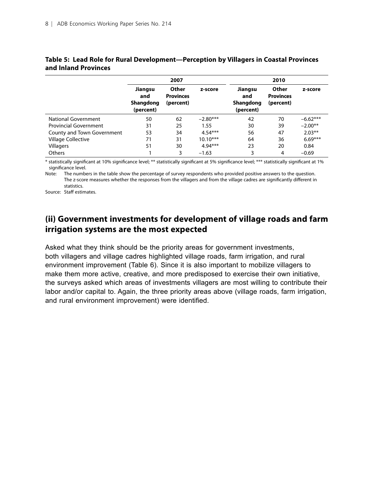|                              |                                                 | 2007                                   |            |                                          | 2010                                   |            |  |  |
|------------------------------|-------------------------------------------------|----------------------------------------|------------|------------------------------------------|----------------------------------------|------------|--|--|
|                              | Jiangsu<br>and<br><b>Shangdong</b><br>(percent) | Other<br><b>Provinces</b><br>(percent) | z-score    | Jiangsu<br>and<br>Shangdong<br>(percent) | Other<br><b>Provinces</b><br>(percent) | z-score    |  |  |
| National Government          | 50                                              | 62                                     | $-2.80***$ | 42                                       | 70                                     | $-6.62***$ |  |  |
| <b>Provincial Government</b> | 31                                              | 25                                     | 1.55       | 30                                       | 39                                     | $-2.00**$  |  |  |
| County and Town Government   | 53                                              | 34                                     | $4.54***$  | 56                                       | 47                                     | $2.03**$   |  |  |
| <b>Village Collective</b>    | 71                                              | 31                                     | $10.10***$ | 64                                       | 36                                     | $6.69***$  |  |  |
| Villagers                    | 51                                              | 30                                     | $4.94***$  | 23                                       | 20                                     | 0.84       |  |  |
| <b>Others</b>                |                                                 | 3                                      | $-1.63$    | 3                                        | 4                                      | $-0.69$    |  |  |

#### **Table 5: Lead Role for Rural Development—Perception by Villagers in Coastal Provinces and Inland Provinces**

\* statistically significant at 10% significance level; \*\* statistically significant at 5% significance level; \*\*\* statistically significant at 1% significance level.

Note: The numbers in the table show the percentage of survey respondents who provided positive answers to the question. The z-score measures whether the responses from the villagers and from the village cadres are significantly different in statistics.

Source: Staff estimates.

## **(ii) Government investments for development of village roads and farm irrigation systems are the most expected**

Asked what they think should be the priority areas for government investments, both villagers and village cadres highlighted village roads, farm irrigation, and rural environment improvement (Table 6). Since it is also important to mobilize villagers to make them more active, creative, and more predisposed to exercise their own initiative, the surveys asked which areas of investments villagers are most willing to contribute their labor and/or capital to. Again, the three priority areas above (village roads, farm irrigation, and rural environment improvement) were identified.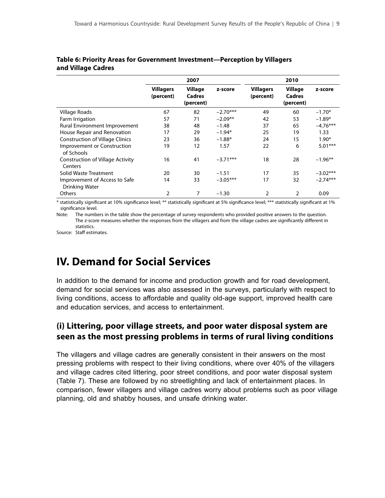|                                                        |                               | 2007                           |            |                               | 2010                           |            |
|--------------------------------------------------------|-------------------------------|--------------------------------|------------|-------------------------------|--------------------------------|------------|
|                                                        | <b>Villagers</b><br>(percent) | Village<br>Cadres<br>(percent) | z-score    | <b>Villagers</b><br>(percent) | Village<br>Cadres<br>(percent) | z-score    |
| Village Roads                                          | 67                            | 82                             | $-2.70***$ | 49                            | 60                             | $-1.70*$   |
| Farm Irrigation                                        | 57                            | 71                             | $-2.09**$  | 42                            | 53                             | $-1.89*$   |
| Rural Environment Improvement                          | 38                            | 48                             | $-1.48$    | 37                            | 65                             | $-4.76***$ |
| House Repair and Renovation                            | 17                            | 29                             | $-1.94*$   | 25                            | 19                             | 1.33       |
| <b>Construction of Village Clinics</b>                 | 23                            | 36                             | $-1.88*$   | 24                            | 15                             | $1.90*$    |
| Improvement or Construction<br>of Schools              | 19                            | 12                             | 1.57       | 22                            | 6                              | $5.01***$  |
| <b>Construction of Village Activity</b><br>Centers     | 16                            | 41                             | $-3.71***$ | 18                            | 28                             | $-1.96**$  |
| Solid Waste Treatment                                  | 20                            | 30                             | $-1.51$    | 17                            | 35                             | $-3.02***$ |
| Improvement of Access to Safe<br><b>Drinking Water</b> | 14                            | 33                             | $-3.05***$ | 17                            | 32                             | $-2.74***$ |
| <b>Others</b>                                          | 2                             | 7                              | $-1.30$    | 2                             | $\overline{2}$                 | 0.09       |

#### **Table 6: Priority Areas for Government Investment—Perception by Villagers and Village Cadres**

\* statistically significant at 10% significance level; \*\* statistically significant at 5% significance level; \*\*\* statistically significant at 1% significance level.

Note: The numbers in the table show the percentage of survey respondents who provided positive answers to the question. The z-score measures whether the responses from the villagers and from the village cadres are significantly different in statistics.

Source: Staff estimates.

## **IV. Demand for Social Services**

In addition to the demand for income and production growth and for road development, demand for social services was also assessed in the surveys, particularly with respect to living conditions, access to affordable and quality old-age support, improved health care and education services, and access to entertainment.

## **(i) Littering, poor village streets, and poor water disposal system are seen as the most pressing problems in terms of rural living conditions**

The villagers and village cadres are generally consistent in their answers on the most pressing problems with respect to their living conditions, where over 40% of the villagers and village cadres cited littering, poor street conditions, and poor water disposal system (Table 7). These are followed by no streetlighting and lack of entertainment places. In comparison, fewer villagers and village cadres worry about problems such as poor village planning, old and shabby houses, and unsafe drinking water.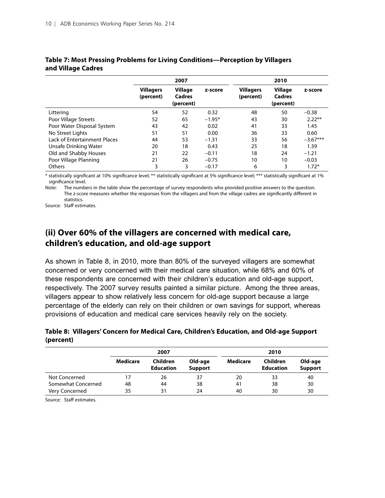|                              |                               | 2007                           |          |                               | 2010                                  |            |
|------------------------------|-------------------------------|--------------------------------|----------|-------------------------------|---------------------------------------|------------|
|                              | <b>Villagers</b><br>(percent) | Village<br>Cadres<br>(percent) | z-score  | <b>Villagers</b><br>(percent) | <b>Village</b><br>Cadres<br>(percent) | z-score    |
| Littering                    | 54                            | 52                             | 0.32     | 48                            | 50                                    | $-0.38$    |
| Poor Village Streets         | 52                            | 65                             | $-1.95*$ | 43                            | 30                                    | $2.22**$   |
| Poor Water Disposal System   | 43                            | 42                             | 0.02     | 41                            | 33                                    | 1.45       |
| No Street Lights             | 51                            | 51                             | 0.00     | 36                            | 33                                    | 0.60       |
| Lack of Entertainment Places | 44                            | 53                             | $-1.31$  | 33                            | 56                                    | $-3.67***$ |
| Unsafe Drinking Water        | 20                            | 18                             | 0.43     | 25                            | 18                                    | 1.39       |
| Old and Shabby Houses        | 21                            | 22                             | $-0.11$  | 18                            | 24                                    | $-1.21$    |
| Poor Village Planning        | 21                            | 26                             | $-0.75$  | 10                            | 10                                    | $-0.03$    |
| <b>Others</b>                | 3                             | 3                              | $-0.17$  | 6                             | 3                                     | $1.72*$    |

#### **Table 7: Most Pressing Problems for Living Conditions—Perception by Villagers and Village Cadres**

\* statistically significant at 10% significance level; \*\* statistically significant at 5% significance level; \*\*\* statistically significant at 1% significance level.

Note: The numbers in the table show the percentage of survey respondents who provided positive answers to the question. The z-score measures whether the responses from the villagers and from the village cadres are significantly different in statistics.

Source: Staff estimates.

## **(ii) Over 60% of the villagers are concerned with medical care, children's education, and old-age support**

As shown in Table 8, in 2010, more than 80% of the surveyed villagers are somewhat concerned or very concerned with their medical care situation, while 68% and 60% of these respondents are concerned with their children's education and old-age support, respectively. The 2007 survey results painted a similar picture. Among the three areas, villagers appear to show relatively less concern for old-age support because a large percentage of the elderly can rely on their children or own savings for support, whereas provisions of education and medical care services heavily rely on the society.

#### **Table 8: Villagers' Concern for Medical Care, Children's Education, and Old-age Support (percent)**

|                    |                 | 2007                         |                           |                 | 2010                         |                           |
|--------------------|-----------------|------------------------------|---------------------------|-----------------|------------------------------|---------------------------|
|                    | <b>Medicare</b> | Children<br><b>Education</b> | Old-age<br><b>Support</b> | <b>Medicare</b> | Children<br><b>Education</b> | Old-age<br><b>Support</b> |
| Not Concerned      |                 | 26                           | 37                        | 20              | 33                           | 40                        |
| Somewhat Concerned | 48              | 44                           | 38                        | 41              | 38                           | 30                        |
| Very Concerned     | 35              | 31                           | 24                        | 40              | 30                           | 30                        |

Source: Staff estimates.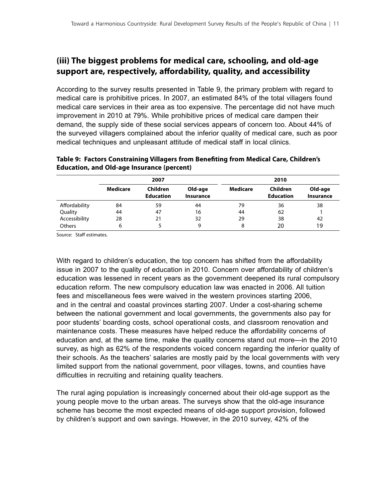## **(iii) The biggest problems for medical care, schooling, and old-age support are, respectively, affordability, quality, and accessibility**

According to the survey results presented in Table 9, the primary problem with regard to medical care is prohibitive prices. In 2007, an estimated 84% of the total villagers found medical care services in their area as too expensive. The percentage did not have much improvement in 2010 at 79%. While prohibitive prices of medical care dampen their demand, the supply side of these social services appears of concern too. About 44% of the surveyed villagers complained about the inferior quality of medical care, such as poor medical techniques and unpleasant attitude of medical staff in local clinics.

|               |          | 2007                         |                             | 2010     |                              |                             |  |
|---------------|----------|------------------------------|-----------------------------|----------|------------------------------|-----------------------------|--|
|               | Medicare | Children<br><b>Education</b> | Old-age<br><b>Insurance</b> | Medicare | Children<br><b>Education</b> | Old-age<br><b>Insurance</b> |  |
| Affordability | 84       | 59                           | 44                          | 79       | 36                           | 38                          |  |
| Quality       | 44       | 47                           | 16                          | 44       | 62                           |                             |  |
| Accessibility | 28       | 21                           | 32                          | 29       | 38                           | 42                          |  |
| Others        | 6        |                              | 9                           | 8        | 20                           | 19                          |  |

#### **Table 9: Factors Constraining Villagers from Benefiting from Medical Care, Children's Education, and Old-age Insurance (percent)**

Source: Staff estimates.

With regard to children's education, the top concern has shifted from the affordability issue in 2007 to the quality of education in 2010. Concern over affordability of children's education was lessened in recent years as the government deepened its rural compulsory education reform. The new compulsory education law was enacted in 2006. All tuition fees and miscellaneous fees were waived in the western provinces starting 2006, and in the central and coastal provinces starting 2007. Under a cost-sharing scheme between the national government and local governments, the governments also pay for poor students' boarding costs, school operational costs, and classroom renovation and maintenance costs. These measures have helped reduce the affordability concerns of education and, at the same time, make the quality concerns stand out more—in the 2010 survey, as high as 62% of the respondents voiced concern regarding the inferior quality of their schools. As the teachers' salaries are mostly paid by the local governments with very limited support from the national government, poor villages, towns, and counties have difficulties in recruiting and retaining quality teachers.

The rural aging population is increasingly concerned about their old-age support as the young people move to the urban areas. The surveys show that the old-age insurance scheme has become the most expected means of old-age support provision, followed by children's support and own savings. However, in the 2010 survey, 42% of the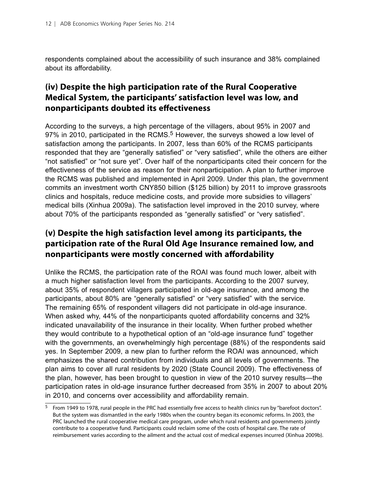respondents complained about the accessibility of such insurance and 38% complained about its affordability.

## **(iv) Despite the high participation rate of the Rural Cooperative Medical System, the participants' satisfaction level was low, and nonparticipants doubted its effectiveness**

According to the surveys, a high percentage of the villagers, about 95% in 2007 and 97% in 2010, participated in the RCMS.<sup>5</sup> However, the surveys showed a low level of satisfaction among the participants. In 2007, less than 60% of the RCMS participants responded that they are "generally satisfied" or "very satisfied", while the others are either "not satisfied" or "not sure yet". Over half of the nonparticipants cited their concern for the effectiveness of the service as reason for their nonparticipation. A plan to further improve the RCMS was published and implemented in April 2009. Under this plan, the government commits an investment worth CNY850 billion (\$125 billion) by 2011 to improve grassroots clinics and hospitals, reduce medicine costs, and provide more subsidies to villagers' medical bills (Xinhua 2009a). The satisfaction level improved in the 2010 survey, where about 70% of the participants responded as "generally satisfied" or "very satisfied".

## **(v) Despite the high satisfaction level among its participants, the participation rate of the Rural Old Age Insurance remained low, and nonparticipants were mostly concerned with affordability**

Unlike the RCMS, the participation rate of the ROAI was found much lower, albeit with a much higher satisfaction level from the participants. According to the 2007 survey, about 35% of respondent villagers participated in old-age insurance, and among the participants, about 80% are "generally satisfied" or "very satisfied" with the service. The remaining 65% of respondent villagers did not participate in old-age insurance. When asked why, 44% of the nonparticipants quoted affordability concerns and 32% indicated unavailability of the insurance in their locality. When further probed whether they would contribute to a hypothetical option of an "old-age insurance fund" together with the governments, an overwhelmingly high percentage (88%) of the respondents said yes. In September 2009, a new plan to further reform the ROAI was announced, which emphasizes the shared contribution from individuals and all levels of governments. The plan aims to cover all rural residents by 2020 (State Council 2009). The effectiveness of the plan, however, has been brought to question in view of the 2010 survey results—the participation rates in old-age insurance further decreased from 35% in 2007 to about 20% in 2010, and concerns over accessibility and affordability remain.

<sup>5</sup> From 1949 to 1978, rural people in the PRC had essentially free access to health clinics run by "barefoot doctors". But the system was dismantled in the early 1980s when the country began its economic reforms. In 2003, the PRC launched the rural cooperative medical care program, under which rural residents and governments jointly contribute to a cooperative fund. Participants could reclaim some of the costs of hospital care. The rate of reimbursement varies according to the ailment and the actual cost of medical expenses incurred (Xinhua 2009b).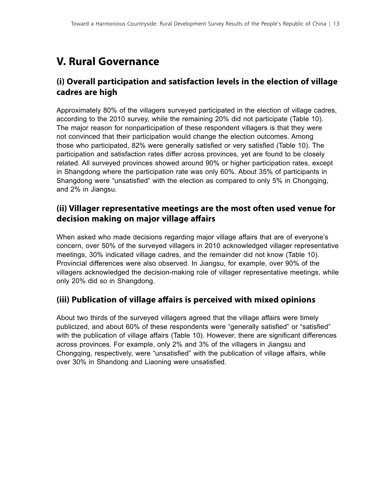## **V. Rural Governance**

## **(i) Overall participation and satisfaction levels in the election of village cadres are high**

Approximately 80% of the villagers surveyed participated in the election of village cadres, according to the 2010 survey, while the remaining 20% did not participate (Table 10). The major reason for nonparticipation of these respondent villagers is that they were not convinced that their participation would change the election outcomes. Among those who participated, 82% were generally satisfied or very satisfied (Table 10). The participation and satisfaction rates differ across provinces, yet are found to be closely related. All surveyed provinces showed around 90% or higher participation rates, except in Shangdong where the participation rate was only 60%. About 35% of participants in Shangdong were "unsatisfied" with the election as compared to only 5% in Chongqing, and 2% in Jiangsu.

## **(ii) Villager representative meetings are the most often used venue for decision making on major village affairs**

When asked who made decisions regarding major village affairs that are of everyone's concern, over 50% of the surveyed villagers in 2010 acknowledged villager representative meetings, 30% indicated village cadres, and the remainder did not know (Table 10). Provincial differences were also observed. In Jiangsu, for example, over 90% of the villagers acknowledged the decision-making role of villager representative meetings, while only 20% did so in Shangdong.

### **(iii) Publication of village affairs is perceived with mixed opinions**

About two thirds of the surveyed villagers agreed that the village affairs were timely publicized, and about 60% of these respondents were "generally satisfied" or "satisfied" with the publication of village affairs (Table 10). However, there are significant differences across provinces. For example, only 2% and 3% of the villagers in Jiangsu and Chongqing, respectively, were "unsatisfied" with the publication of village affairs, while over 30% in Shandong and Liaoning were unsatisfied.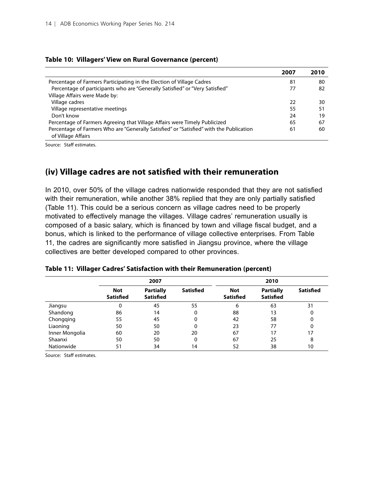#### **Table 10: Villagers' View on Rural Governance (percent)**

|                                                                                                               | 2007 | 2010 |
|---------------------------------------------------------------------------------------------------------------|------|------|
| Percentage of Farmers Participating in the Election of Village Cadres                                         | 81   | 80   |
| Percentage of participants who are "Generally Satisfied" or "Very Satisfied"                                  | 77   | 82   |
| Village Affairs were Made by:                                                                                 |      |      |
| Village cadres                                                                                                | 22   | 30   |
| Village representative meetings                                                                               | 55   | 51   |
| Don't know                                                                                                    | 24   | 19   |
| Percentage of Farmers Agreeing that Village Affairs were Timely Publicized                                    | 65   | 67   |
| Percentage of Farmers Who are "Generally Satisfied" or "Satisfied" with the Publication<br>of Village Affairs | 61   | 60   |

Source: Staff estimates.

### **(iv) Village cadres are not satisfied with their remuneration**

In 2010, over 50% of the village cadres nationwide responded that they are not satisfied with their remuneration, while another 38% replied that they are only partially satisfied (Table 11). This could be a serious concern as village cadres need to be properly motivated to effectively manage the villages. Village cadres' remuneration usually is composed of a basic salary, which is financed by town and village fiscal budget, and a bonus, which is linked to the performance of village collective enterprises. From Table 11, the cadres are significantly more satisfied in Jiangsu province, where the village collectives are better developed compared to other provinces.

|                | 2007                    |                                      |                  | 2010                           |                                      |           |
|----------------|-------------------------|--------------------------------------|------------------|--------------------------------|--------------------------------------|-----------|
|                | Not<br><b>Satisfied</b> | <b>Partially</b><br><b>Satisfied</b> | <b>Satisfied</b> | <b>Not</b><br><b>Satisfied</b> | <b>Partially</b><br><b>Satisfied</b> | Satisfied |
| Jiangsu        | 0                       | 45                                   | 55               | 6                              | 63                                   | 31        |
| Shandong       | 86                      | 14                                   | 0                | 88                             | 13                                   |           |
| Chongqing      | 55                      | 45                                   | 0                | 42                             | 58                                   |           |
| Liaoning       | 50                      | 50                                   | 0                | 23                             | 77                                   |           |
| Inner Mongolia | 60                      | 20                                   | 20               | 67                             | 17                                   | 17        |
| Shaanxi        | 50                      | 50                                   | 0                | 67                             | 25                                   | 8         |
| Nationwide     | 51                      | 34                                   | 14               | 52                             | 38                                   | 10        |

#### **Table 11: Villager Cadres' Satisfaction with their Remuneration (percent)**

Source: Staff estimates.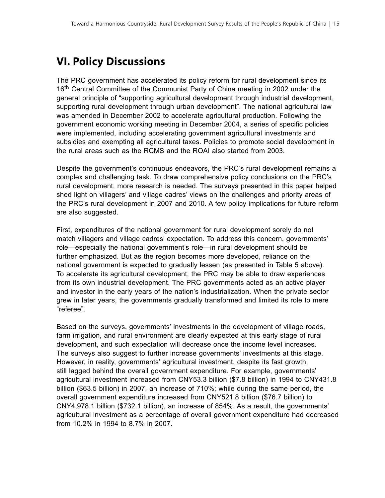## **VI. Policy Discussions**

The PRC government has accelerated its policy reform for rural development since its 16<sup>th</sup> Central Committee of the Communist Party of China meeting in 2002 under the general principle of "supporting agricultural development through industrial development, supporting rural development through urban development". The national agricultural law was amended in December 2002 to accelerate agricultural production. Following the government economic working meeting in December 2004, a series of specific policies were implemented, including accelerating government agricultural investments and subsidies and exempting all agricultural taxes. Policies to promote social development in the rural areas such as the RCMS and the ROAI also started from 2003.

Despite the government's continuous endeavors, the PRC's rural development remains a complex and challenging task. To draw comprehensive policy conclusions on the PRC's rural development, more research is needed. The surveys presented in this paper helped shed light on villagers' and village cadres' views on the challenges and priority areas of the PRC's rural development in 2007 and 2010. A few policy implications for future reform are also suggested.

First, expenditures of the national government for rural development sorely do not match villagers and village cadres' expectation. To address this concern, governments' role—especially the national government's role—in rural development should be further emphasized. But as the region becomes more developed, reliance on the national government is expected to gradually lessen (as presented in Table 5 above). To accelerate its agricultural development, the PRC may be able to draw experiences from its own industrial development. The PRC governments acted as an active player and investor in the early years of the nation's industrialization. When the private sector grew in later years, the governments gradually transformed and limited its role to mere "referee".

Based on the surveys, governments' investments in the development of village roads, farm irrigation, and rural environment are clearly expected at this early stage of rural development, and such expectation will decrease once the income level increases. The surveys also suggest to further increase governments' investments at this stage. However, in reality, governments' agricultural investment, despite its fast growth, still lagged behind the overall government expenditure. For example, governments' agricultural investment increased from CNY53.3 billion (\$7.8 billion) in 1994 to CNY431.8 billion (\$63.5 billion) in 2007, an increase of 710%; while during the same period, the overall government expenditure increased from CNY521.8 billion (\$76.7 billion) to CNY4,978.1 billion (\$732.1 billion), an increase of 854%. As a result, the governments' agricultural investment as a percentage of overall government expenditure had decreased from 10.2% in 1994 to 8.7% in 2007.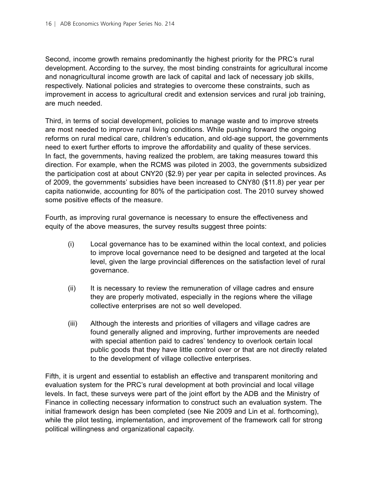Second, income growth remains predominantly the highest priority for the PRC's rural development. According to the survey, the most binding constraints for agricultural income and nonagricultural income growth are lack of capital and lack of necessary job skills, respectively. National policies and strategies to overcome these constraints, such as improvement in access to agricultural credit and extension services and rural job training, are much needed.

Third, in terms of social development, policies to manage waste and to improve streets are most needed to improve rural living conditions. While pushing forward the ongoing reforms on rural medical care, children's education, and old-age support, the governments need to exert further efforts to improve the affordability and quality of these services. In fact, the governments, having realized the problem, are taking measures toward this direction. For example, when the RCMS was piloted in 2003, the governments subsidized the participation cost at about CNY20 (\$2.9) per year per capita in selected provinces. As of 2009, the governments' subsidies have been increased to CNY80 (\$11.8) per year per capita nationwide, accounting for 80% of the participation cost. The 2010 survey showed some positive effects of the measure.

Fourth, as improving rural governance is necessary to ensure the effectiveness and equity of the above measures, the survey results suggest three points:

- (i) Local governance has to be examined within the local context, and policies to improve local governance need to be designed and targeted at the local level, given the large provincial differences on the satisfaction level of rural governance.
- (ii) It is necessary to review the remuneration of village cadres and ensure they are properly motivated, especially in the regions where the village collective enterprises are not so well developed.
- (iii) Although the interests and priorities of villagers and village cadres are found generally aligned and improving, further improvements are needed with special attention paid to cadres' tendency to overlook certain local public goods that they have little control over or that are not directly related to the development of village collective enterprises.

Fifth, it is urgent and essential to establish an effective and transparent monitoring and evaluation system for the PRC's rural development at both provincial and local village levels. In fact, these surveys were part of the joint effort by the ADB and the Ministry of Finance in collecting necessary information to construct such an evaluation system. The initial framework design has been completed (see Nie 2009 and Lin et al. forthcoming), while the pilot testing, implementation, and improvement of the framework call for strong political willingness and organizational capacity.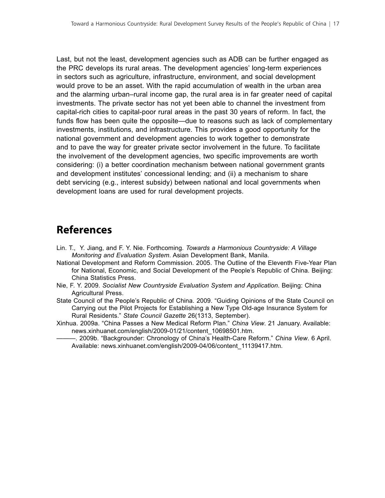Last, but not the least, development agencies such as ADB can be further engaged as the PRC develops its rural areas. The development agencies' long-term experiences in sectors such as agriculture, infrastructure, environment, and social development would prove to be an asset. With the rapid accumulation of wealth in the urban area and the alarming urban–rural income gap, the rural area is in far greater need of capital investments. The private sector has not yet been able to channel the investment from capital-rich cities to capital-poor rural areas in the past 30 years of reform. In fact, the funds flow has been quite the opposite—due to reasons such as lack of complementary investments, institutions, and infrastructure. This provides a good opportunity for the national government and development agencies to work together to demonstrate and to pave the way for greater private sector involvement in the future. To facilitate the involvement of the development agencies, two specific improvements are worth considering: (i) a better coordination mechanism between national government grants and development institutes' concessional lending; and (ii) a mechanism to share debt servicing (e.g., interest subsidy) between national and local governments when development loans are used for rural development projects.

## **References**

- Lin. T., Y. Jiang, and F. Y. Nie. Forthcoming. *Towards a Harmonious Countryside: A Village Monitoring and Evaluation System*. Asian Development Bank, Manila.
- National Development and Reform Commission. 2005. The Outline of the Eleventh Five-Year Plan for National, Economic, and Social Development of the People's Republic of China. Beijing: China Statistics Press.
- Nie, F. Y. 2009. *Socialist New Countryside Evaluation System and Application*. Beijing: China Agricultural Press.
- State Council of the People's Republic of China. 2009. "Guiding Opinions of the State Council on Carrying out the Pilot Projects for Establishing a New Type Old-age Insurance System for Rural Residents." *State Council Gazette* 26(1313, September).
- Xinhua. 2009a. "China Passes a New Medical Reform Plan." *China View*. 21 January. Available: news.xinhuanet.com/english/2009-01/21/content\_10698501.htm.
	- ———. 2009b. "Backgrounder: Chronology of China's Health-Care Reform." *China View*. 6 April. Available: news.xinhuanet.com/english/2009-04/06/content\_11139417.htm.